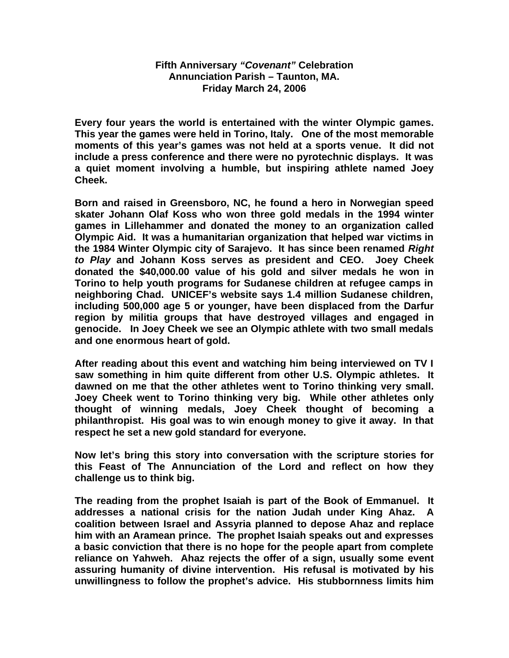## **Fifth Anniversary** *"Covenant"* **Celebration Annunciation Parish – Taunton, MA. Friday March 24, 2006**

**Every four years the world is entertained with the winter Olympic games. This year the games were held in Torino, Italy. One of the most memorable moments of this year's games was not held at a sports venue. It did not include a press conference and there were no pyrotechnic displays. It was a quiet moment involving a humble, but inspiring athlete named Joey Cheek.** 

**Born and raised in Greensboro, NC, he found a hero in Norwegian speed skater Johann Olaf Koss who won three gold medals in the 1994 winter games in Lillehammer and donated the money to an organization called Olympic Aid. It was a humanitarian organization that helped war victims in the 1984 Winter Olympic city of Sarajevo. It has since been renamed** *Right to Play* **and Johann Koss serves as president and CEO. Joey Cheek donated the \$40,000.00 value of his gold and silver medals he won in Torino to help youth programs for Sudanese children at refugee camps in neighboring Chad. UNICEF's website says 1.4 million Sudanese children, including 500,000 age 5 or younger, have been displaced from the Darfur region by militia groups that have destroyed villages and engaged in genocide. In Joey Cheek we see an Olympic athlete with two small medals and one enormous heart of gold.**

**After reading about this event and watching him being interviewed on TV I saw something in him quite different from other U.S. Olympic athletes. It dawned on me that the other athletes went to Torino thinking very small. Joey Cheek went to Torino thinking very big. While other athletes only thought of winning medals, Joey Cheek thought of becoming a philanthropist. His goal was to win enough money to give it away. In that respect he set a new gold standard for everyone.**

**Now let's bring this story into conversation with the scripture stories for this Feast of The Annunciation of the Lord and reflect on how they challenge us to think big.**

**The reading from the prophet Isaiah is part of the Book of Emmanuel. It addresses a national crisis for the nation Judah under King Ahaz. A coalition between Israel and Assyria planned to depose Ahaz and replace him with an Aramean prince. The prophet Isaiah speaks out and expresses a basic conviction that there is no hope for the people apart from complete reliance on Yahweh. Ahaz rejects the offer of a sign, usually some event assuring humanity of divine intervention. His refusal is motivated by his unwillingness to follow the prophet's advice. His stubbornness limits him**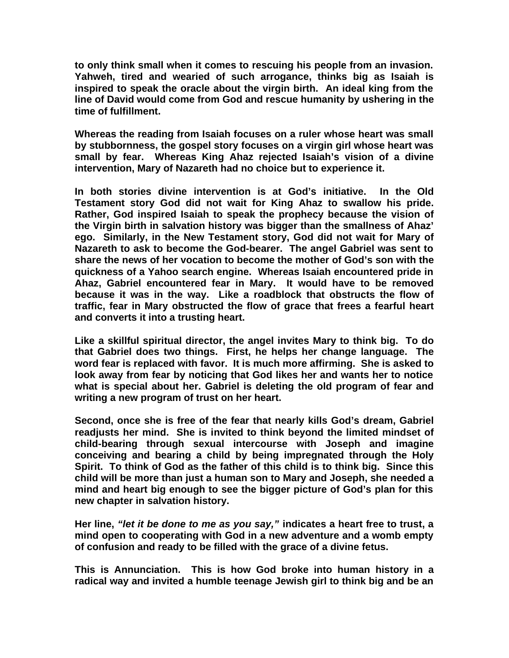**to only think small when it comes to rescuing his people from an invasion. Yahweh, tired and wearied of such arrogance, thinks big as Isaiah is inspired to speak the oracle about the virgin birth. An ideal king from the line of David would come from God and rescue humanity by ushering in the time of fulfillment.**

**Whereas the reading from Isaiah focuses on a ruler whose heart was small by stubbornness, the gospel story focuses on a virgin girl whose heart was small by fear. Whereas King Ahaz rejected Isaiah's vision of a divine intervention, Mary of Nazareth had no choice but to experience it.**

**In both stories divine intervention is at God's initiative. In the Old Testament story God did not wait for King Ahaz to swallow his pride. Rather, God inspired Isaiah to speak the prophecy because the vision of the Virgin birth in salvation history was bigger than the smallness of Ahaz' ego. Similarly, in the New Testament story, God did not wait for Mary of Nazareth to ask to become the God-bearer. The angel Gabriel was sent to share the news of her vocation to become the mother of God's son with the quickness of a Yahoo search engine. Whereas Isaiah encountered pride in Ahaz, Gabriel encountered fear in Mary. It would have to be removed because it was in the way. Like a roadblock that obstructs the flow of traffic, fear in Mary obstructed the flow of grace that frees a fearful heart and converts it into a trusting heart.** 

**Like a skillful spiritual director, the angel invites Mary to think big. To do that Gabriel does two things. First, he helps her change language. The word fear is replaced with favor. It is much more affirming. She is asked to look away from fear by noticing that God likes her and wants her to notice what is special about her. Gabriel is deleting the old program of fear and writing a new program of trust on her heart.**

**Second, once she is free of the fear that nearly kills God's dream, Gabriel readjusts her mind. She is invited to think beyond the limited mindset of child-bearing through sexual intercourse with Joseph and imagine conceiving and bearing a child by being impregnated through the Holy Spirit. To think of God as the father of this child is to think big. Since this child will be more than just a human son to Mary and Joseph, she needed a mind and heart big enough to see the bigger picture of God's plan for this new chapter in salvation history.** 

**Her line,** *"let it be done to me as you say,"* **indicates a heart free to trust, a mind open to cooperating with God in a new adventure and a womb empty of confusion and ready to be filled with the grace of a divine fetus.**

**This is Annunciation. This is how God broke into human history in a radical way and invited a humble teenage Jewish girl to think big and be an**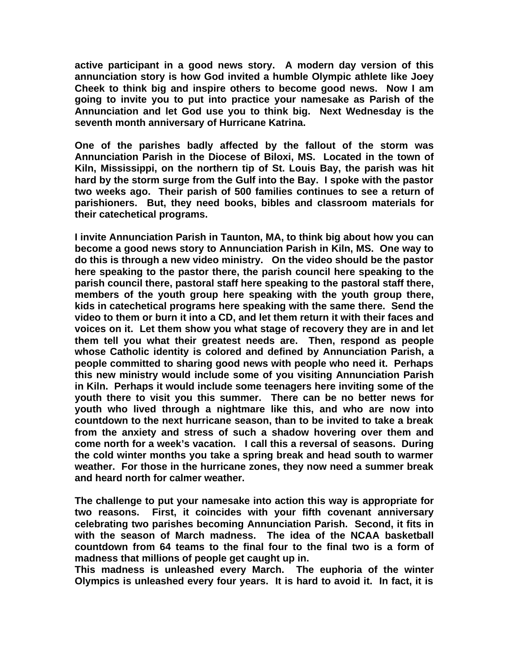**active participant in a good news story. A modern day version of this annunciation story is how God invited a humble Olympic athlete like Joey Cheek to think big and inspire others to become good news. Now I am going to invite you to put into practice your namesake as Parish of the Annunciation and let God use you to think big. Next Wednesday is the seventh month anniversary of Hurricane Katrina.** 

**One of the parishes badly affected by the fallout of the storm was Annunciation Parish in the Diocese of Biloxi, MS. Located in the town of Kiln, Mississippi, on the northern tip of St. Louis Bay, the parish was hit hard by the storm surge from the Gulf into the Bay. I spoke with the pastor two weeks ago. Their parish of 500 families continues to see a return of parishioners. But, they need books, bibles and classroom materials for their catechetical programs.** 

**I invite Annunciation Parish in Taunton, MA, to think big about how you can become a good news story to Annunciation Parish in Kiln, MS. One way to do this is through a new video ministry. On the video should be the pastor here speaking to the pastor there, the parish council here speaking to the parish council there, pastoral staff here speaking to the pastoral staff there, members of the youth group here speaking with the youth group there, kids in catechetical programs here speaking with the same there. Send the video to them or burn it into a CD, and let them return it with their faces and voices on it. Let them show you what stage of recovery they are in and let them tell you what their greatest needs are. Then, respond as people whose Catholic identity is colored and defined by Annunciation Parish, a people committed to sharing good news with people who need it. Perhaps this new ministry would include some of you visiting Annunciation Parish in Kiln. Perhaps it would include some teenagers here inviting some of the youth there to visit you this summer. There can be no better news for youth who lived through a nightmare like this, and who are now into countdown to the next hurricane season, than to be invited to take a break from the anxiety and stress of such a shadow hovering over them and come north for a week's vacation. I call this a reversal of seasons. During the cold winter months you take a spring break and head south to warmer weather. For those in the hurricane zones, they now need a summer break and heard north for calmer weather.**

**The challenge to put your namesake into action this way is appropriate for two reasons. First, it coincides with your fifth covenant anniversary celebrating two parishes becoming Annunciation Parish. Second, it fits in with the season of March madness. The idea of the NCAA basketball countdown from 64 teams to the final four to the final two is a form of madness that millions of people get caught up in.** 

**This madness is unleashed every March. The euphoria of the winter Olympics is unleashed every four years. It is hard to avoid it. In fact, it is**